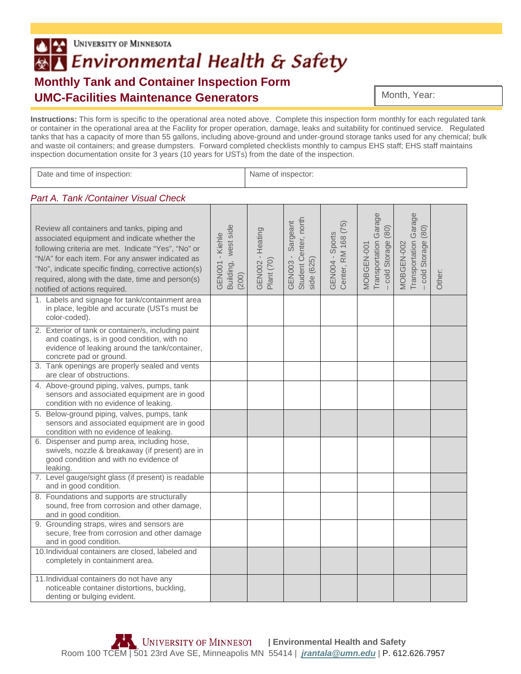## **UNIVERSITY OF MINNESOTA**  $|2|$ **AT Environmental Health & Safety Monthly Tank and Container Inspection Form UMC-Facilities Maintenance Generators**

Month, Year: Month, Year:

**Instructions:** This form is specific to the operational area noted above. Complete this inspection form monthly for each regulated tank or container in the operational area at the Facility for proper operation, damage, leaks and suitability for continued service. Regulated tanks that has a capacity of more than 55 gallons, including above-ground and under-ground storage tanks used for any chemical; bulk and waste oil containers; and grease dumpsters. Forward completed checklists monthly to campus EHS staff; EHS staff maintains inspection documentation onsite for 3 years (10 years for USTs) from the date of the inspection.

| Date and time of inspection:                                                                                                                                                                                                                                                                                                                           |                                                    |                                | Name of inspector:                                       |                                        |                                                             |                                                          |        |  |
|--------------------------------------------------------------------------------------------------------------------------------------------------------------------------------------------------------------------------------------------------------------------------------------------------------------------------------------------------------|----------------------------------------------------|--------------------------------|----------------------------------------------------------|----------------------------------------|-------------------------------------------------------------|----------------------------------------------------------|--------|--|
| Part A. Tank / Container Visual Check                                                                                                                                                                                                                                                                                                                  |                                                    |                                |                                                          |                                        |                                                             |                                                          |        |  |
| Review all containers and tanks, piping and<br>associated equipment and indicate whether the<br>following criteria are met. Indicate "Yes", "No" or<br>"N/A" for each item. For any answer indicated as<br>"No", indicate specific finding, corrective action(s)<br>required, along with the date, time and person(s)<br>notified of actions required. | west side<br>GEN001 - Kiehle<br>Building,<br>(200) | GEN002 - Heating<br>Plant (70) | GEN003 - Sargeant<br>Student Center, north<br>side (625) | Center, RM 168 (75)<br>GEN004 - Sports | Transportation Garage<br>(80)<br>cold Storage<br>MOBGEN-001 | Transportation Garage<br>cold Storage (80)<br>MOBGEN-002 | Other: |  |
| 1. Labels and signage for tank/containment area<br>in place, legible and accurate (USTs must be<br>color-coded).                                                                                                                                                                                                                                       |                                                    |                                |                                                          |                                        |                                                             |                                                          |        |  |
| 2. Exterior of tank or container/s, including paint<br>and coatings, is in good condition, with no<br>evidence of leaking around the tank/container,<br>concrete pad or ground.                                                                                                                                                                        |                                                    |                                |                                                          |                                        |                                                             |                                                          |        |  |
| 3. Tank openings are properly sealed and vents<br>are clear of obstructions.                                                                                                                                                                                                                                                                           |                                                    |                                |                                                          |                                        |                                                             |                                                          |        |  |
| 4. Above-ground piping, valves, pumps, tank<br>sensors and associated equipment are in good<br>condition with no evidence of leaking.                                                                                                                                                                                                                  |                                                    |                                |                                                          |                                        |                                                             |                                                          |        |  |
| 5. Below-ground piping, valves, pumps, tank<br>sensors and associated equipment are in good<br>condition with no evidence of leaking.                                                                                                                                                                                                                  |                                                    |                                |                                                          |                                        |                                                             |                                                          |        |  |
| 6. Dispenser and pump area, including hose,<br>swivels, nozzle & breakaway (if present) are in<br>good condition and with no evidence of<br>leaking.                                                                                                                                                                                                   |                                                    |                                |                                                          |                                        |                                                             |                                                          |        |  |
| 7. Level gauge/sight glass (if present) is readable<br>and in good condition.                                                                                                                                                                                                                                                                          |                                                    |                                |                                                          |                                        |                                                             |                                                          |        |  |
| 8. Foundations and supports are structurally<br>sound, free from corrosion and other damage,<br>and in good condition.                                                                                                                                                                                                                                 |                                                    |                                |                                                          |                                        |                                                             |                                                          |        |  |
| 9. Grounding straps, wires and sensors are<br>secure, free from corrosion and other damage<br>and in good condition.                                                                                                                                                                                                                                   |                                                    |                                |                                                          |                                        |                                                             |                                                          |        |  |
| 10. Individual containers are closed, labeled and<br>completely in containment area.                                                                                                                                                                                                                                                                   |                                                    |                                |                                                          |                                        |                                                             |                                                          |        |  |
| 11. Individual containers do not have any<br>noticeable container distortions, buckling,<br>denting or bulging evident.                                                                                                                                                                                                                                |                                                    |                                |                                                          |                                        |                                                             |                                                          |        |  |